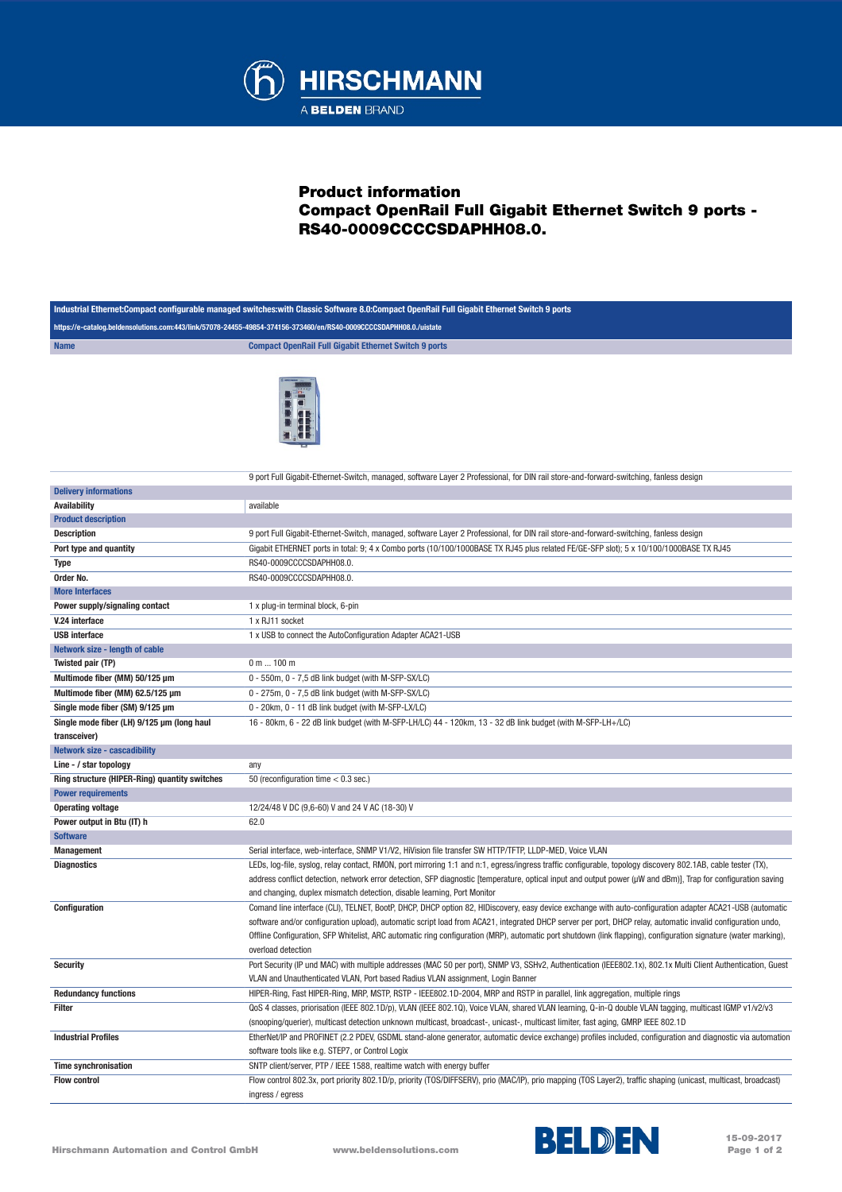

## Product information Compact OpenRail Full Gigabit Ethernet Switch 9 ports - RS40-0009CCCCSDAPHH08.0.

| Industrial Ethernet:Compact configurable managed switches:with Classic Software 8.0:Compact OpenRail Full Gigabit Ethernet Switch 9 ports |                                                                                                                                                                 |  |
|-------------------------------------------------------------------------------------------------------------------------------------------|-----------------------------------------------------------------------------------------------------------------------------------------------------------------|--|
| https://e-catalog.beldensolutions.com:443/link/57078-24455-49854-374156-373460/en/RS40-0009CCCCSDAPHH08.0./uistate                        |                                                                                                                                                                 |  |
| <b>Name</b>                                                                                                                               | <b>Compact OpenRail Full Gigabit Ethernet Switch 9 ports</b>                                                                                                    |  |
|                                                                                                                                           | 9 port Full Gigabit-Ethernet-Switch, managed, software Layer 2 Professional, for DIN rail store-and-forward-switching, fanless design                           |  |
| <b>Delivery informations</b>                                                                                                              |                                                                                                                                                                 |  |
| Availability                                                                                                                              | available                                                                                                                                                       |  |
| <b>Product description</b>                                                                                                                |                                                                                                                                                                 |  |
| <b>Description</b>                                                                                                                        | 9 port Full Gigabit-Ethernet-Switch, managed, software Layer 2 Professional, for DIN rail store-and-forward-switching, fanless design                           |  |
| Port type and quantity                                                                                                                    | Gigabit ETHERNET ports in total: 9; 4 x Combo ports (10/100/1000BASE TX RJ45 plus related FE/GE-SFP slot); 5 x 10/100/1000BASE TX RJ45                          |  |
| <b>Type</b>                                                                                                                               | RS40-0009CCCCSDAPHH08.0.                                                                                                                                        |  |
| Order No.                                                                                                                                 | RS40-0009CCCCSDAPHH08.0.                                                                                                                                        |  |
| <b>More Interfaces</b>                                                                                                                    |                                                                                                                                                                 |  |
| Power supply/signaling contact                                                                                                            | 1 x plug-in terminal block, 6-pin                                                                                                                               |  |
| V.24 interface                                                                                                                            | 1 x RJ11 socket                                                                                                                                                 |  |
| <b>USB</b> interface                                                                                                                      | 1 x USB to connect the AutoConfiguration Adapter ACA21-USB                                                                                                      |  |
| Network size - length of cable                                                                                                            |                                                                                                                                                                 |  |
| Twisted pair (TP)                                                                                                                         | 0 m  100 m                                                                                                                                                      |  |
| Multimode fiber (MM) 50/125 µm                                                                                                            | 0 - 550m, 0 - 7,5 dB link budget (with M-SFP-SX/LC)                                                                                                             |  |
| Multimode fiber (MM) 62.5/125 µm                                                                                                          | 0 - 275m, 0 - 7,5 dB link budget (with M-SFP-SX/LC)                                                                                                             |  |
| Single mode fiber (SM) 9/125 µm                                                                                                           | 0 - 20km, 0 - 11 dB link budget (with M-SFP-LX/LC)                                                                                                              |  |
| Single mode fiber (LH) 9/125 µm (long haul                                                                                                | 16 - 80km, 6 - 22 dB link budget (with M-SFP-LH/LC) 44 - 120km, 13 - 32 dB link budget (with M-SFP-LH+/LC)                                                      |  |
| transceiver)                                                                                                                              |                                                                                                                                                                 |  |
| <b>Network size - cascadibility</b>                                                                                                       |                                                                                                                                                                 |  |
| Line - / star topology                                                                                                                    | any                                                                                                                                                             |  |
| Ring structure (HIPER-Ring) quantity switches                                                                                             | 50 (reconfiguration time $< 0.3$ sec.)                                                                                                                          |  |
| <b>Power requirements</b>                                                                                                                 |                                                                                                                                                                 |  |
| <b>Operating voltage</b>                                                                                                                  | 12/24/48 V DC (9,6-60) V and 24 V AC (18-30) V                                                                                                                  |  |
| Power output in Btu (IT) h                                                                                                                | 62.0                                                                                                                                                            |  |
| <b>Software</b>                                                                                                                           |                                                                                                                                                                 |  |
| <b>Management</b>                                                                                                                         | Serial interface, web-interface, SNMP V1/V2, HiVision file transfer SW HTTP/TFTP, LLDP-MED, Voice VLAN                                                          |  |
| <b>Diagnostics</b>                                                                                                                        | LEDs, log-file, syslog, relay contact, RMON, port mirroring 1:1 and n:1, egress/ingress traffic configurable, topology discovery 802.1AB, cable tester (TX),    |  |
|                                                                                                                                           | address conflict detection, network error detection, SFP diagnostic [temperature, optical input and output power (µW and dBm)], Trap for configuration saving   |  |
|                                                                                                                                           | and changing, duplex mismatch detection, disable learning, Port Monitor                                                                                         |  |
| <b>Configuration</b>                                                                                                                      | Comand line interface (CLI), TELNET, BootP, DHCP, DHCP option 82, HIDiscovery, easy device exchange with auto-configuration adapter ACA21-USB (automatic        |  |
|                                                                                                                                           | software and/or configuration upload), automatic script load from ACA21, integrated DHCP server per port, DHCP relay, automatic invalid configuration undo,     |  |
|                                                                                                                                           | Offline Configuration, SFP Whitelist, ARC automatic ring configuration (MRP), automatic port shutdown (link flapping), configuration signature (water marking), |  |
|                                                                                                                                           | overload detection                                                                                                                                              |  |
| <b>Security</b>                                                                                                                           | Port Security (IP und MAC) with multiple addresses (MAC 50 per port), SNMP V3, SSHv2, Authentication (IEEE802.1x), 802.1x Multi Client Authentication, Guest    |  |
|                                                                                                                                           | VLAN and Unauthenticated VLAN, Port based Radius VLAN assignment, Login Banner                                                                                  |  |
| <b>Redundancy functions</b>                                                                                                               | HIPER-Ring, Fast HIPER-Ring, MRP, MSTP, RSTP - IEEE802.1D-2004, MRP and RSTP in parallel, link aggregation, multiple rings                                      |  |
| Filter                                                                                                                                    | QoS 4 classes, priorisation (IEEE 802.1D/p), VLAN (IEEE 802.1Q), Voice VLAN, shared VLAN learning, Q-in-Q double VLAN tagging, multicast IGMP v1/v2/v3          |  |
|                                                                                                                                           | (snooping/querier), multicast detection unknown multicast, broadcast-, unicast-, multicast limiter, fast aging, GMRP IEEE 802.1D                                |  |
| <b>Industrial Profiles</b>                                                                                                                | EtherNet/IP and PROFINET (2.2 PDEV, GSDML stand-alone generator, automatic device exchange) profiles included, configuration and diagnostic via automation      |  |
|                                                                                                                                           | software tools like e.g. STEP7, or Control Logix                                                                                                                |  |
| <b>Time synchronisation</b>                                                                                                               | SNTP client/server, PTP / IEEE 1588, realtime watch with energy buffer                                                                                          |  |
| <b>Flow control</b>                                                                                                                       | Flow control 802.3x, port priority 802.1D/p, priority (TOS/DIFFSERV), prio (MAC/IP), prio mapping (TOS Layer2), traffic shaping (unicast, multicast, broadcast) |  |
|                                                                                                                                           | ingress / egress                                                                                                                                                |  |
|                                                                                                                                           |                                                                                                                                                                 |  |

Page 1 of 2